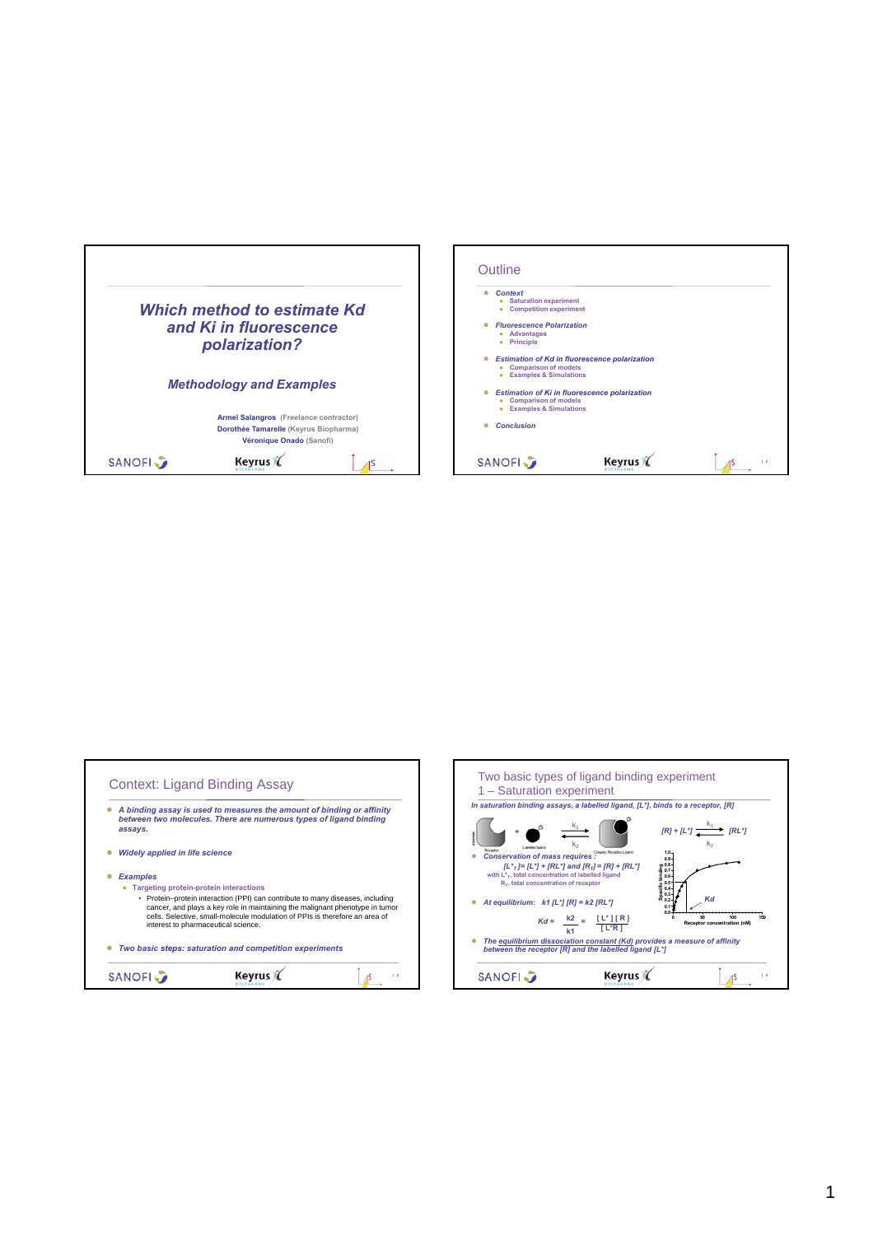| Which method to estimate Kd<br>and Ki in fluorescence<br>polarization? |                                                                                                             |  | <b>Saturation experiment</b><br>۰<br>• Competition experiment<br><b>Fluorescence Polarization</b><br>• Advantages<br>• Principle                    | <b>Estimation of Kd in fluorescence polarization</b> |    |
|------------------------------------------------------------------------|-------------------------------------------------------------------------------------------------------------|--|-----------------------------------------------------------------------------------------------------------------------------------------------------|------------------------------------------------------|----|
| <b>Methodology and Examples</b>                                        |                                                                                                             |  | <b>Comparison of models</b><br>٠<br><b>Examples &amp; Simulations</b><br><b>Comparison of models</b><br>٠<br><b>Examples &amp; Simulations</b><br>٠ | <b>Estimation of Ki in fluorescence polarization</b> |    |
|                                                                        | Armel Salangros (Freelance contractor)<br>Dorothée Tamarelle (Keyrus Biopharma)<br>Véronique Onado (Sanofi) |  | <b>Conclusion</b>                                                                                                                                   |                                                      |    |
| <b>SANOFI</b>                                                          | Keyrus (                                                                                                    |  | <b>SANOFI</b>                                                                                                                                       | Keyrus                                               | 12 |

| assays.                                       | A binding assay is used to measures the amount of binding or affinity<br>between two molecules. There are numerous types of ligand binding                                                                                                                                           |                    |
|-----------------------------------------------|--------------------------------------------------------------------------------------------------------------------------------------------------------------------------------------------------------------------------------------------------------------------------------------|--------------------|
| <b>Widely applied in life science</b>         |                                                                                                                                                                                                                                                                                      |                    |
| <b>Examples</b>                               |                                                                                                                                                                                                                                                                                      |                    |
| <b>Targeting protein-protein interactions</b> |                                                                                                                                                                                                                                                                                      |                    |
|                                               | • Protein-protein interaction (PPI) can contribute to many diseases, including<br>cancer, and plays a key role in maintaining the malignant phenotype in tumor<br>cells. Selective, small-molecule modulation of PPIs is therefore an area of<br>interest to pharmaceutical science. |                    |
|                                               | Two basic steps: saturation and competition experiments                                                                                                                                                                                                                              |                    |
| <b>SANOFI</b>                                 |                                                                                                                                                                                                                                                                                      | $\mathbf{\hat{z}}$ |

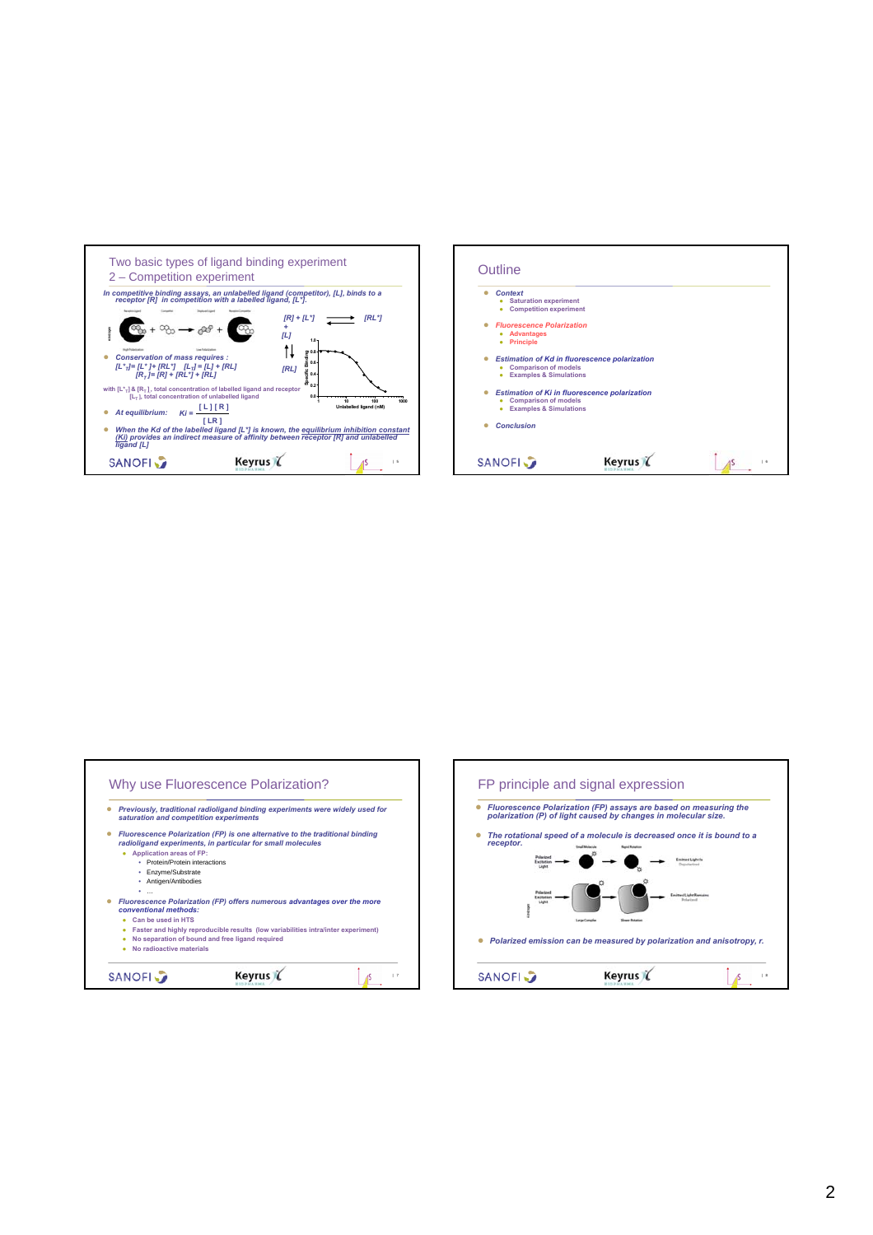





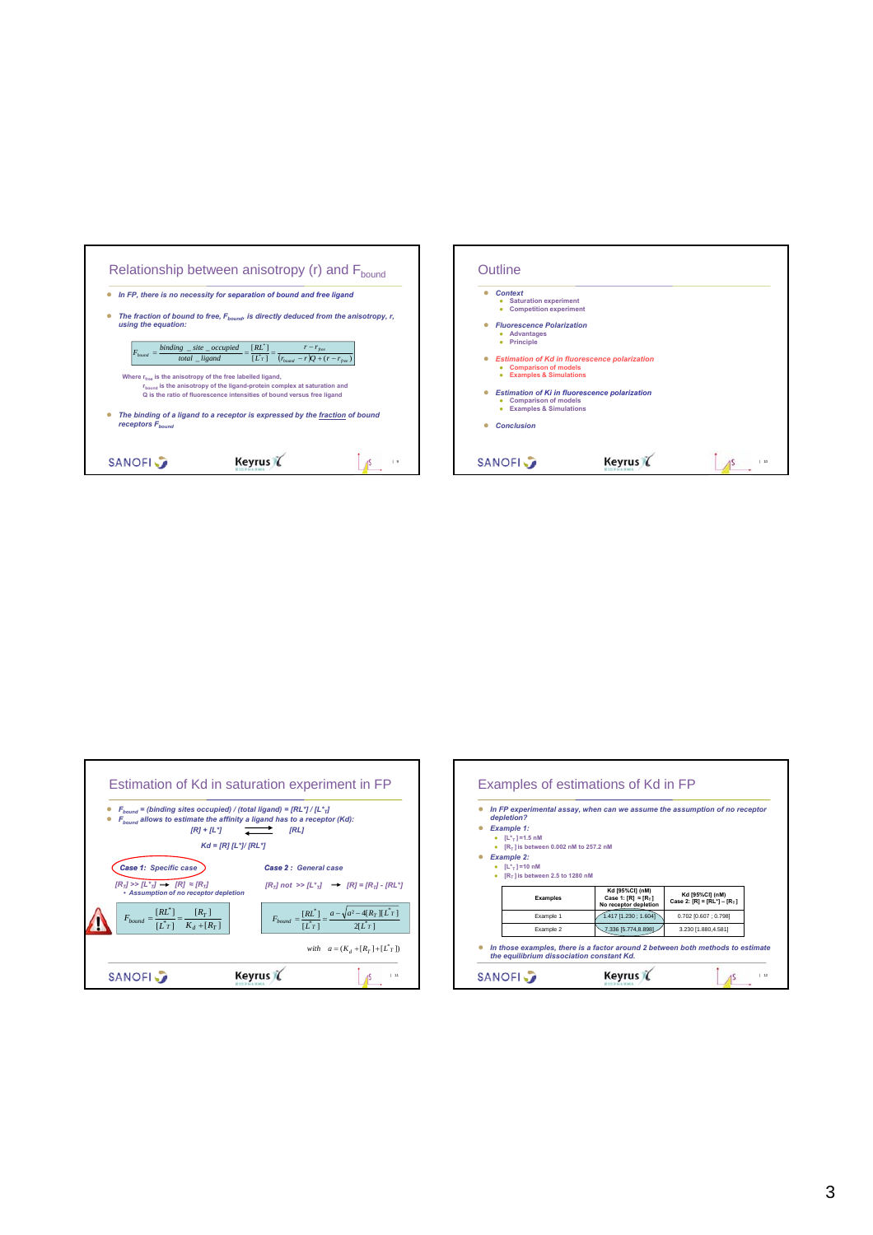



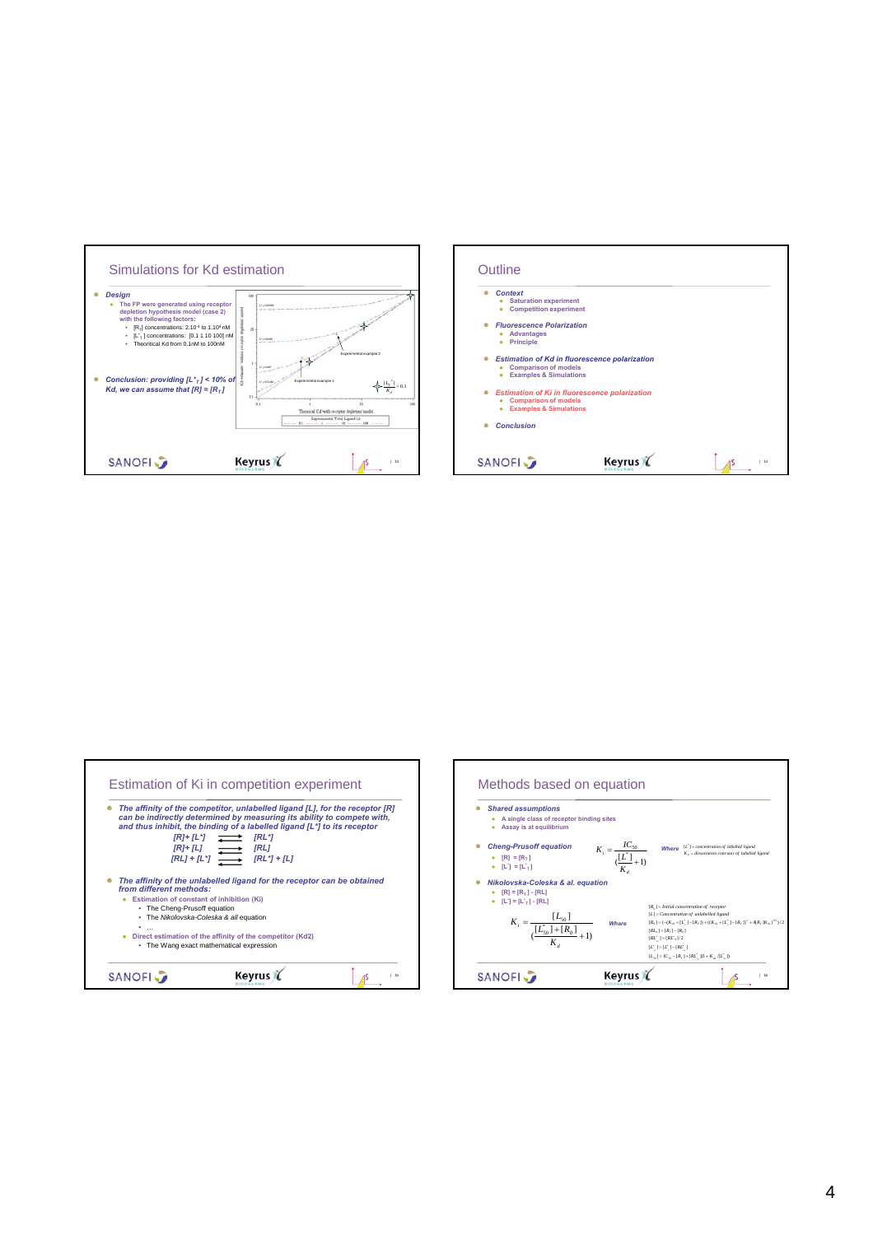



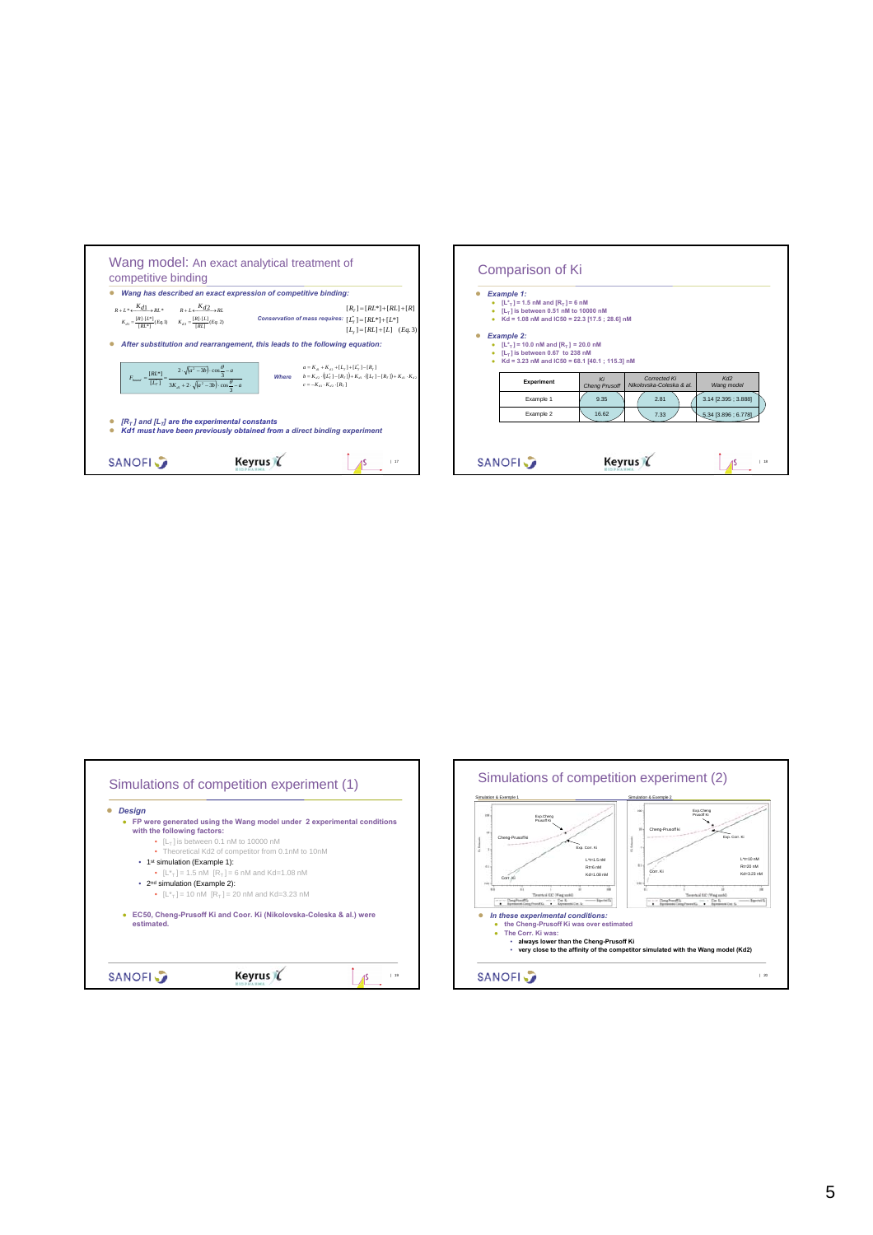|                                                                                                                                                                                     | Wang has described an exact expression of competitive binding:                                                                                                                                                               |
|-------------------------------------------------------------------------------------------------------------------------------------------------------------------------------------|------------------------------------------------------------------------------------------------------------------------------------------------------------------------------------------------------------------------------|
| $R+L^* \leftarrow \frac{K_{d1}}{R} R L^* \qquad R+L \leftarrow \frac{K_{d2}}{R} R L$<br>$K_{d1} = \frac{[R] \cdot [L^*]}{[H^*]}(Eq.1)$ $K_{d2} = \frac{[R] \cdot [L]}{[H^*]}(Eq.2)$ | $[R_r] = [RL^*] + [RL] + [R]$<br>Conservation of mass requires: $[L_r^*] = [RL^*] + [L^*]$<br>$[L_r] = [RL] + [L]$ ( <i>Eq.</i> 3)                                                                                           |
|                                                                                                                                                                                     | After substitution and rearrangement, this leads to the following equation:                                                                                                                                                  |
| $F_{bound} = \frac{[RL^*]}{[L^*_T]} = \frac{2 \cdot \sqrt{(a^2 - 3b)} \cdot \cos{\frac{\theta}{3}} - a}{3K_{d1} + 2 \cdot \sqrt{(a^2 - 3b)} \cdot \cos{\frac{\theta}{3}} - a}$      | $a = K_{\alpha} + K_{\alpha}$ , + $[L_{\tau}]$ + $[L_{\tau}]$ - $[R_{\tau}]$<br><b>Where</b> $b = K_{d2} \cdot ((L_T^*) - [R_T]) + K_{d1} \cdot ((L_T^*) - [R_T]) + K_{d1} \cdot K_{d2}$<br>$c = -K_a \cdot K_a \cdot [R_r]$ |
| $[R\tau]$ and $[L\tau]$ are the experimental constants                                                                                                                              | Kd1 must have been previously obtained from a direct binding experiment                                                                                                                                                      |

| <b>Example 1:</b><br>• $[L^*T] = 1.5$ nM and $[R_T] = 6$ nM<br>$\bullet$ [L <sub>T</sub> ] is between 0.51 nM to 10000 nM<br>• Kd = 1.08 nM and IC50 = 22.3 [17.5 ; 28.6] nM |                            |                                          |                               |
|------------------------------------------------------------------------------------------------------------------------------------------------------------------------------|----------------------------|------------------------------------------|-------------------------------|
| <b>Example 2:</b><br>• $[L^*T] = 10.0$ nM and $[R_T] = 20.0$ nM<br>$\bullet$ [L <sub>T</sub> ] is between 0.67 to 238 nM<br>• Kd = 3.23 nM and IC50 = 68.1 [40.1 ; 115.3] nM |                            |                                          |                               |
| Experiment                                                                                                                                                                   | Ki<br><b>Cheng Prusoff</b> | Corrected Ki<br>Nikolovska-Coleska & al. | Kd <sub>2</sub><br>Wang model |
| Example 1                                                                                                                                                                    | 9.35                       | 2.81                                     | 3.14 [2.395 ; 3.888]          |
| Example 2                                                                                                                                                                    | 16.62                      | 7.33                                     | $5.34$ [3.896 ; 6.778]        |
|                                                                                                                                                                              |                            |                                          |                               |



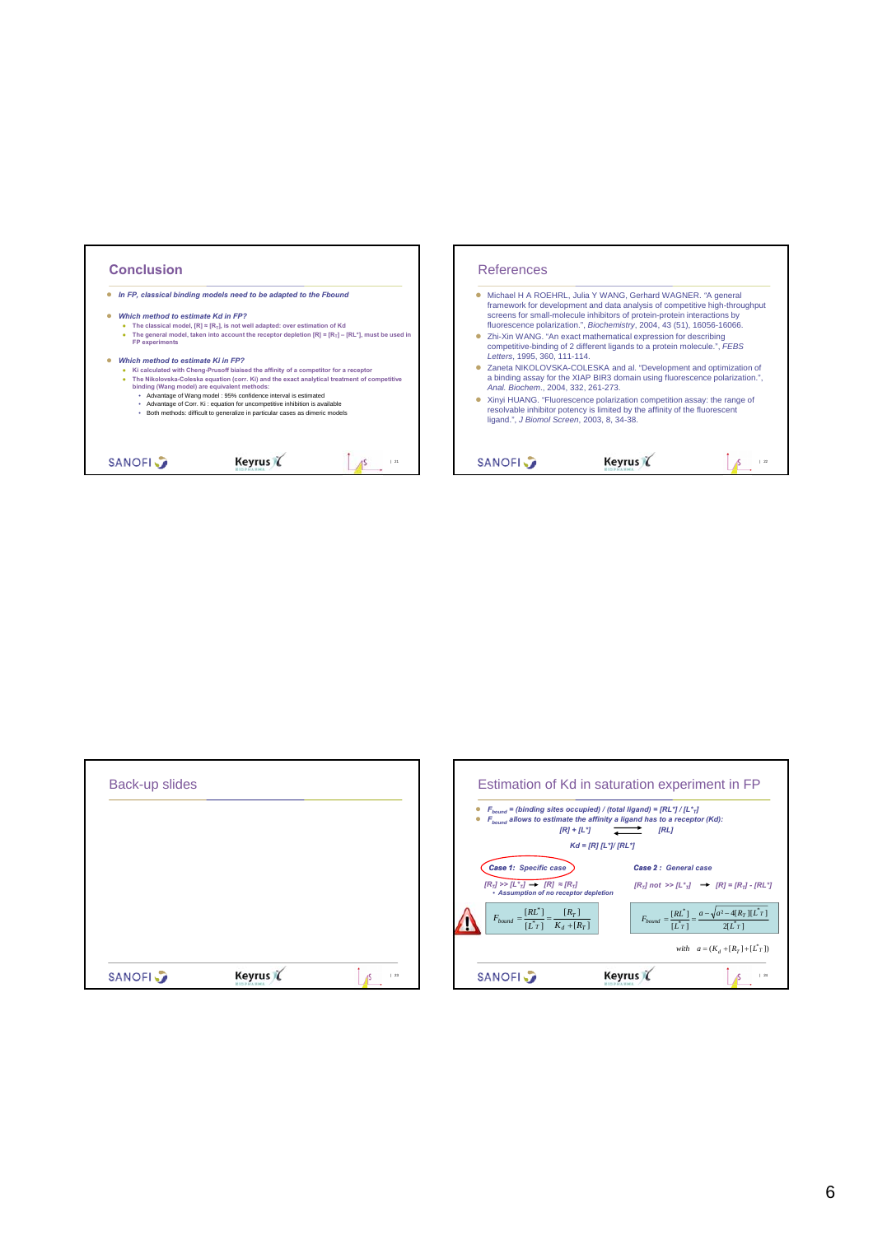| Anal. Biochem., 2004, 332, 261-273.<br>• Advantage of Wang model : 95% confidence interval is estimated<br>• Xinyi HUANG. "Fluorescence polarization competition assay: the range of<br>• Advantage of Corr. Ki : equation for uncompetitive inhibition is available<br>resolvable inhibitor potency is limited by the affinity of the fluorescent<br>Both methods: difficult to generalize in particular cases as dimeric models<br>ligand.", J Biomol Screen, 2003, 8, 34-38. | In FP, classical binding models need to be adapted to the Fbound<br>Which method to estimate Kd in FP?<br>The classical model, $[{\bf R}] \approx [{\bf R}_{\tau}]$ , is not well adapted: over estimation of Kd<br>The general model, taken into account the receptor depletion $[R] = [R_T] - [RL^*]$ , must be used in<br><b>FP</b> experiments<br>Which method to estimate Ki in FP?<br>Ki calculated with Cheng-Prusoff biaised the affinity of a competitor for a receptor<br>The Nikolovska-Coleska equation (corr. Ki) and the exact analytical treatment of competitive<br>binding (Wang model) are equivalent methods: |  |  | • Michael H A ROEHRL, Julia Y WANG, Gerhard WAGNER. "A general<br>framework for development and data analysis of competitive high-throughput<br>screens for small-molecule inhibitors of protein-protein interactions by<br>fluorescence polarization.", Biochemistry, 2004, 43 (51), 16056-16066.<br>• Zhi-Xin WANG. "An exact mathematical expression for describing<br>competitive-binding of 2 different ligands to a protein molecule.", FEBS<br>Letters, 1995, 360, 111-114.<br>Zaneta NIKOLOVSKA-COLESKA and al. "Development and optimization of<br>a binding assay for the XIAP BIR3 domain using fluorescence polarization.", |  |  |
|---------------------------------------------------------------------------------------------------------------------------------------------------------------------------------------------------------------------------------------------------------------------------------------------------------------------------------------------------------------------------------------------------------------------------------------------------------------------------------|----------------------------------------------------------------------------------------------------------------------------------------------------------------------------------------------------------------------------------------------------------------------------------------------------------------------------------------------------------------------------------------------------------------------------------------------------------------------------------------------------------------------------------------------------------------------------------------------------------------------------------|--|--|-----------------------------------------------------------------------------------------------------------------------------------------------------------------------------------------------------------------------------------------------------------------------------------------------------------------------------------------------------------------------------------------------------------------------------------------------------------------------------------------------------------------------------------------------------------------------------------------------------------------------------------------|--|--|
|                                                                                                                                                                                                                                                                                                                                                                                                                                                                                 |                                                                                                                                                                                                                                                                                                                                                                                                                                                                                                                                                                                                                                  |  |  |                                                                                                                                                                                                                                                                                                                                                                                                                                                                                                                                                                                                                                         |  |  |